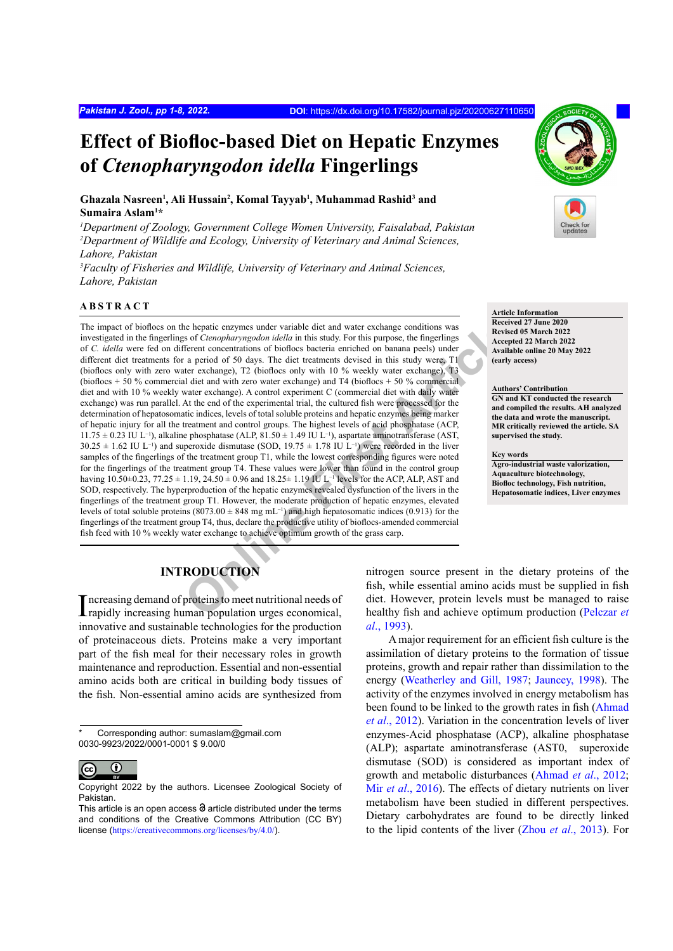# **Effect of Biofloc-based Diet on Hepatic Enzymes of** *Ctenopharyngodon idella* **Fingerlings**

**Ghazala Nasreen<sup>1</sup> , Ali Hussain<sup>2</sup> , Komal Tayyab<sup>1</sup> , Muhammad Rashid<sup>3</sup> and Sumaira Aslam<sup>1</sup> \***

*1 Department of Zoology, Government College Women University, Faisalabad, Pakistan* <sup>2</sup>Department of Wildlife and Ecology, University of Veterinary and Animal Sciences, *Lahore, Pakistan*

*3 Faculty of Fisheries and Wildlife, University of Veterinary and Animal Sciences, Lahore, Pakistan*

## **ABSTRACT**

he hepatic enzymes under variable diet and water exchange conditions was<br>
so fo Ceronophary angolan idella in this study. For this purpose, the fingerings<br>
of First purpose, the fingerings<br>
are period of 50 days. The diet The impact of bioflocs on the hepatic enzymes under variable diet and water exchange conditions was investigated in the fingerlings of *Ctenopharyngodon idella* in this study. For this purpose, the fingerlings of *C. idella* were fed on different concentrations of bioflocs bacteria enriched on banana peels) under different diet treatments for a period of 50 days. The diet treatments devised in this study were, T1 (bioflocs only with zero water exchange), T2 (bioflocs only with 10 % weekly water exchange), T3 (bioflocs  $+50\%$  commercial diet and with zero water exchange) and T4 (bioflocs  $+50\%$  commercial diet and with 10 % weekly water exchange). A control experiment C (commercial diet with daily water exchange) was run parallel. At the end of the experimental trial, the cultured fish were processed for the determination of hepatosomatic indices, levels of total soluble proteins and hepatic enzymes being marker of hepatic injury for all the treatment and control groups. The highest levels of acid phosphatase (ACP, 11.75 ± 0.23 IU L−1), alkaline phosphatase (ALP, 81.50 ± 1.49 IU L−1), aspartate aminotransferase (AST,  $30.25 \pm 1.62$  IU L<sup>-1</sup>) and superoxide dismutase (SOD, 19.75  $\pm$  1.78 IU L<sup>-1</sup>) were recorded in the liver samples of the fingerlings of the treatment group T1, while the lowest corresponding figures were noted for the fingerlings of the treatment group T4. These values were lower than found in the control group having  $10.50\pm0.23$ ,  $77.25\pm1.19$ ,  $24.50\pm0.96$  and  $18.25\pm1.19$  IU L<sup>-1</sup> levels for the ACP, ALP, AST and SOD, respectively. The hyperproduction of the hepatic enzymes revealed dysfunction of the livers in the fingerlings of the treatment group T1. However, the moderate production of hepatic enzymes, elevated levels of total soluble proteins (8073.00 ± 848 mg mL−1) and high hepatosomatic indices (0.913) for the fingerlings of the treatment group T4, thus, declare the productive utility of bioflocs-amended commercial fish feed with 10 % weekly water exchange to achieve optimum growth of the grass carp.



#### **Article Information**

**Received 27 June 2020 Revised 05 March 2022 Accepted 22 March 2022 Available online 20 May 2022 (early access)**

#### **Authors' Contribution**

**GN and KT conducted the research and compiled the results. AH analyzed the data and wrote the manuscript. MR critically reviewed the article. SA supervised the study.**

#### **Key words**

**Agro-industrial waste valorization, Aquaculture biotechnology, Biofloc technology, Fish nutrition, Hepatosomatic indices, Liver enzymes**

## **INTRODUCTION**

Increasing demand of proteins to meet nutritional needs of<br>Irapidly increasing human population urges economical, rapidly increasing human population urges economical, innovative and sustainable technologies for the production of proteinaceous diets. Proteins make a very important part of the fish meal for their necessary roles in growth maintenance and reproduction. Essential and non-essential amino acids both are critical in building body tissues of the fish. Non-essential amino acids are synthesized from

Corresponding author: sumaslam@gmail.com 0030-9923/2022/0001-0001 \$ 9.00/0



Copyright 2022 by the authors. Licensee Zoological Society of Pakistan.

nitrogen source present in the dietary proteins of the fish, while essential amino acids must be supplied in fish diet. However, protein levels must be managed to raise healthy fish and achieve optimum production [\(Pelczar](#page-7-0) *et al*[., 1993\)](#page-7-0).

A major requirement for an efficient fish culture is the assimilation of dietary proteins to the formation of tissue proteins, growth and repair rather than dissimilation to the energy [\(Weatherley and Gill, 1987](#page-7-1); [Jauncey, 1998](#page-6-0)). The activity of the enzymes involved in energy metabolism has been found to be linked to the growth rates in fish [\(Ahmad](#page-5-0) *et al*[., 2012\)](#page-5-0). Variation in the concentration levels of liver enzymes-Acid phosphatase (ACP), alkaline phosphatase (ALP); aspartate aminotransferase (AST0, superoxide dismutase (SOD) is considered as important index of growth and metabolic disturbances ([Ahmad](#page-5-0) *et al*., 2012; Mir *et al*[., 2016](#page-6-1)). The effects of dietary nutrients on liver metabolism have been studied in different perspectives. Dietary carbohydrates are found to be directly linked to the lipid contents of the liver (Zhou *et al*[., 2013](#page-7-2)). For

This article is an open access  $\Theta$  article distributed under the terms and conditions of the Creative Commons Attribution (CC BY) license (<https://creativecommons.org/licenses/by/4.0/>).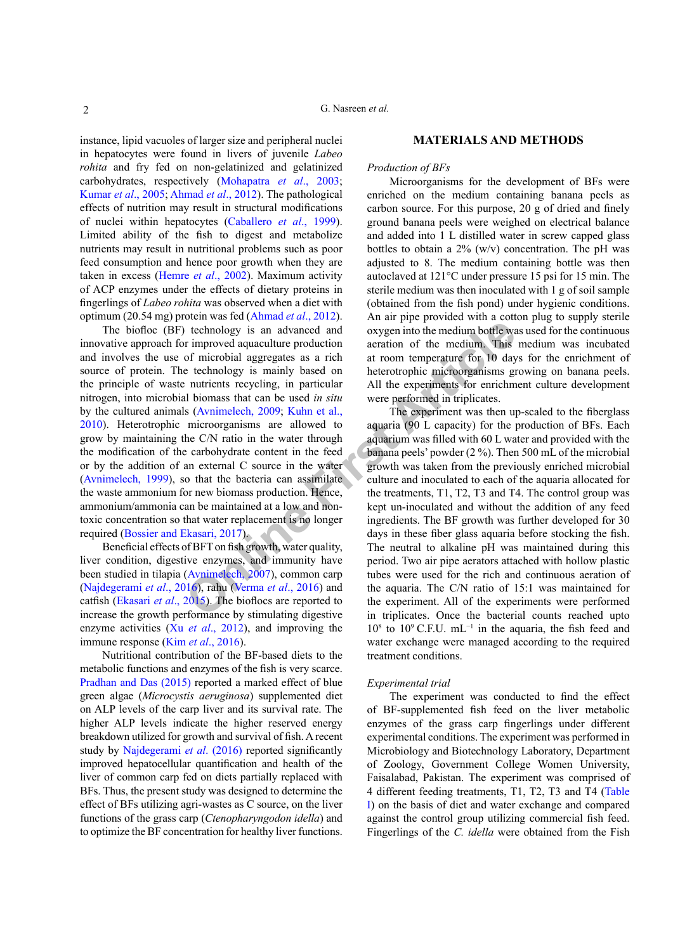instance, lipid vacuoles of larger size and peripheral nuclei in hepatocytes were found in livers of juvenile *Labeo rohita* and fry fed on non-gelatinized and gelatinized carbohydrates, respectively [\(Mohapatra](#page-6-2) *et al*., 2003; [Kumar](#page-6-3) *et al*., 2005; [Ahmad](#page-5-0) *et al*., 2012). The pathological effects of nutrition may result in structural modifications of nuclei within hepatocytes (Caballero *et al*., 1999). Limited ability of the fish to digest and metabolize nutrients may result in nutritional problems such as poor feed consumption and hence poor growth when they are taken in excess (Hemre *et al*., 2002). Maximum activity of ACP enzymes under the effects of dietary proteins in fingerlings of *Labeo rohita* was observed when a diet with optimum (20.54 mg) protein was fed [\(Ahmad](#page-5-0) *et al*., 2012).

**Conservant Conservant Article**<br> **Conservant Article**<br> **Conservant Article**<br> **Conservant Article**<br> **Conservant Article**<br> **Conservant Article**<br> **Conservant Article Experiment article are treatment for and the experiments re** The biofloc (BF) technology is an advanced and innovative approach for improved aquaculture production and involves the use of microbial aggregates as a rich source of protein. The technology is mainly based on the principle of waste nutrients recycling, in particular nitrogen, into microbial biomass that can be used *in situ* by the cultured animals (Avnimelech, 2009; Kuhn et al., [2010\)](#page-6-4). Heterotrophic microorganisms are allowed to grow by maintaining the C/N ratio in the water through the modification of the carbohydrate content in the feed or by the addition of an external C source in the water ([Avnimelech, 1999](#page-5-2)), so that the bacteria can assimilate the waste ammonium for new biomass production. Hence, ammonium/ammonia can be maintained at a low and nontoxic concentration so that water replacement is no longer required ([Bossier and Ekasari, 2017](#page-5-3)).

Beneficial effects of BFT on fish growth, water quality, liver condition, digestive enzymes, and immunity have been studied in tilapia (Avnimelech, 2007), common carp ([Najdegerami](#page-6-5) *et al*., 2016), rahu (Verma *et al*., 2016) and catfish (Ekasari *et al*., 2015). The bioflocs are reported to increase the growth performance by stimulating digestive enzyme activities (Xu *et al*., 2012), and improving the immune response (Kim *et al*., 2016).

Nutritional contribution of the BF-based diets to the metabolic functions and enzymes of the fish is very scarce. [Pradhan and Das \(2015\)](#page-7-3) reported a marked effect of blue green algae (*Microcystis aeruginosa*) supplemented diet on ALP levels of the carp liver and its survival rate. The higher ALP levels indicate the higher reserved energy breakdown utilized for growth and survival of fish. A recent study by [Najdegerami](#page-6-5) *et al*. (2016) reported significantly improved hepatocellular quantification and health of the liver of common carp fed on diets partially replaced with BFs. Thus, the present study was designed to determine the effect of BFs utilizing agri-wastes as C source, on the liver functions of the grass carp (*Ctenopharyngodon idella*) and to optimize the BF concentration for healthy liver functions.

## **MATERIALS AND METHODS**

### *Production of BFs*

Microorganisms for the development of BFs were enriched on the medium containing banana peels as carbon source. For this purpose, 20 g of dried and finely ground banana peels were weighed on electrical balance and added into 1 L distilled water in screw capped glass bottles to obtain a  $2\%$  (w/v) concentration. The pH was adjusted to 8. The medium containing bottle was then autoclaved at 121°C under pressure 15 psi for 15 min. The sterile medium was then inoculated with 1 g of soil sample (obtained from the fish pond) under hygienic conditions. An air pipe provided with a cotton plug to supply sterile oxygen into the medium bottle was used for the continuous aeration of the medium. This medium was incubated at room temperature for 10 days for the enrichment of heterotrophic microorganisms growing on banana peels. All the experiments for enrichment culture development were performed in triplicates.

The experiment was then up-scaled to the fiberglass aquaria (90 L capacity) for the production of BFs. Each aquarium was filled with 60 L water and provided with the banana peels' powder (2 %). Then 500 mL of the microbial growth was taken from the previously enriched microbial culture and inoculated to each of the aquaria allocated for the treatments, T1, T2, T3 and T4. The control group was kept un-inoculated and without the addition of any feed ingredients. The BF growth was further developed for 30 days in these fiber glass aquaria before stocking the fish. The neutral to alkaline pH was maintained during this period. Two air pipe aerators attached with hollow plastic tubes were used for the rich and continuous aeration of the aquaria. The C/N ratio of 15:1 was maintained for the experiment. All of the experiments were performed in triplicates. Once the bacterial counts reached upto 108 to 109 C.F.U. mL−1 in the aquaria, the fish feed and water exchange were managed according to the required treatment conditions.

#### *Experimental trial*

The experiment was conducted to find the effect of BF-supplemented fish feed on the liver metabolic enzymes of the grass carp fingerlings under different experimental conditions. The experiment was performed in Microbiology and Biotechnology Laboratory, Department of Zoology, Government College Women University, Faisalabad, Pakistan. The experiment was comprised of 4 different feeding treatments, T1, T2, T3 and T4 [\(Table](#page-2-0) [I](#page-2-0)) on the basis of diet and water exchange and compared against the control group utilizing commercial fish feed. Fingerlings of the *C. idella* were obtained from the Fish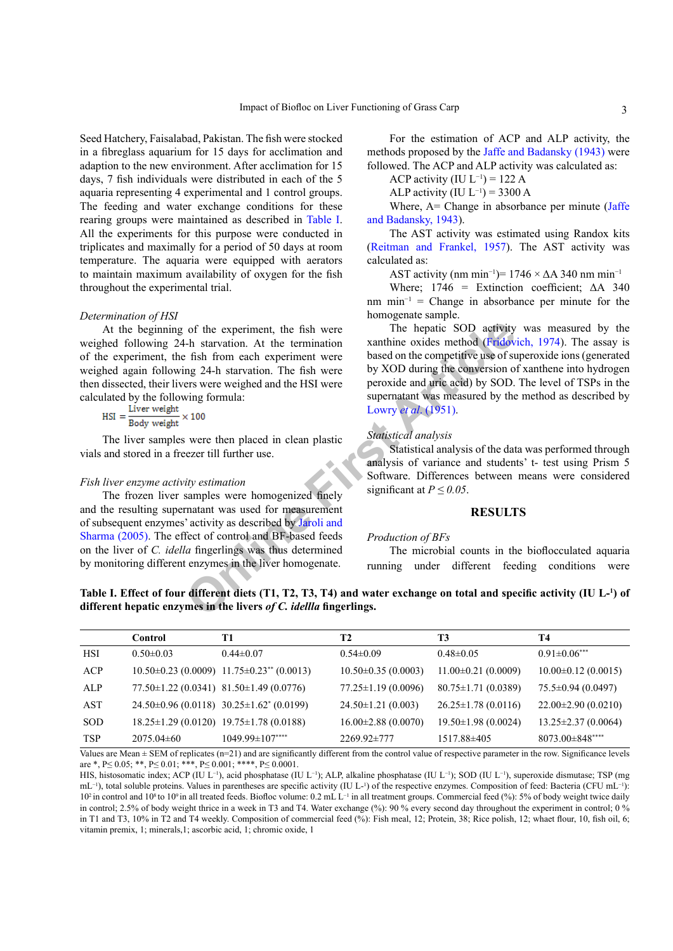Seed Hatchery, Faisalabad, Pakistan. The fish were stocked in a fibreglass aquarium for 15 days for acclimation and adaption to the new environment. After acclimation for 15 days, 7 fish individuals were distributed in each of the 5 aquaria representing 4 experimental and 1 control groups. The feeding and water exchange conditions for these rearing groups were maintained as described in [Table I.](#page-2-0) All the experiments for this purpose were conducted in triplicates and maximally for a period of 50 days at room temperature. The aquaria were equipped with aerators to maintain maximum availability of oxygen for the fish throughout the experimental trial.

#### *Determination of HSI*

At the beginning of the experiment, the fish were weighed following 24-h starvation. At the termination of the experiment, the fish from each experiment were weighed again following 24-h starvation. The fish were then dissected, their livers were weighed and the HSI were

calculated by the following formula:<br> $HSI = \frac{Liver weight}{Body weight} \times 100$ 

The liver samples were then placed in clean plastic vials and stored in a freezer till further use.

### *Fish liver enzyme activity estimation*

The frozen liver samples were homogenized finely and the resulting supernatant was used for measurement of subsequent enzymes' activity as described by Jaroli and [Sharma \(2005\).](#page-6-6) The effect of control and BF-based feeds on the liver of *C. idella* fingerlings was thus determined by monitoring different enzymes in the liver homogenate.

For the estimation of ACP and ALP activity, the methods proposed by the [Jaffe and Badansky \(1943\)](#page-6-7) were followed. The ACP and ALP activity was calculated as:

ACP activity (IU  $L^{-1}$ ) = 122 A

ALP activity (IU  $L^{-1}$ ) = 3300 A

Where, A= Change in absorbance per minute ([Jaffe](#page-6-7) [and Badansky, 1943\)](#page-6-7).

The AST activity was estimated using Randox kits ([Reitman and Frankel, 1957\)](#page-7-4). The AST activity was calculated as:

AST activity (nm min<sup>-1</sup>)=  $1746 \times \Delta A$  340 nm min<sup>-1</sup>

Where;  $1746 =$  Extinction coefficient;  $\Delta A$  340 nm min<sup>-1</sup> = Change in absorbance per minute for the homogenate sample.

of th[e](#page-6-6) experiment, the fish were<br>
I-h starvation. At the termination<br>
First Expansion and the experiment were weighted and the competitive use of stars<br>
only XOD during the conversion of the stars were weighted and the HS The hepatic SOD activity was measured by the xanthine oxides method [\(Fridovich, 1974\)](#page-5-5). The assay is based on the competitive use of superoxide ions (generated by XOD during the conversion of xanthene into hydrogen peroxide and uric acid) by SOD. The level of TSPs in the supernatant was measured by the method as described by Lowry *et al*. (1951).

#### *Statistical analysis*

Statistical analysis of the data was performed through analysis of variance and students' t- test using Prism 5 Software. Differences between means were considered significant at  $P \leq 0.05$ .

## **RESULTS**

## *Production of BFs*

The microbial counts in the bioflocculated aquaria running under different feeding conditions were

<span id="page-2-0"></span>**Table I. Effect of four different diets (T1, T2, T3, T4) and water exchange on total and specific activity (IU L-<sup>1</sup> ) of different hepatic enzymes in the livers** *of C. idellla* **fingerlings.**

|            | Control         | T1                                                   | T2                       | T3                        | Т4                       |
|------------|-----------------|------------------------------------------------------|--------------------------|---------------------------|--------------------------|
| HSI        | $0.50 \pm 0.03$ | $0.44\pm 0.07$                                       | $0.54 \pm 0.09$          | $0.48 \pm 0.05$           | $0.91 \pm 0.06$ ***      |
| ACP        |                 | $10.50\pm0.23$ (0.0009) $11.75\pm0.23^{**}$ (0.0013) | $10.50\pm0.35(0.0003)$   | $11.00\pm0.21(0.0009)$    | $10.00\pm0.12(0.0015)$   |
| ALP        |                 | $77.50 \pm 1.22$ (0.0341) 81.50 $\pm 1.49$ (0.0776)  | $77.25 \pm 1.19(0.0096)$ | $80.75 \pm 1.71(0.0389)$  | $75.5\pm0.94(0.0497)$    |
| <b>AST</b> |                 | $24.50\pm0.96(0.0118)$ $30.25\pm1.62^{*}(0.0199)$    | $24.50 \pm 1.21$ (0.003) | $26.25 \pm 1.78(0.0116)$  | $22.00\pm2.90(0.0210)$   |
| <b>SOD</b> |                 | $18.25 \pm 1.29$ (0.0120) $19.75 \pm 1.78$ (0.0188)  | $16.00\pm2.88(0.0070)$   | $19.50 \pm 1.98$ (0.0024) | $13.25 \pm 2.37(0.0064)$ |
| TSP        | $2075.04\pm 60$ | $1049.99 \pm 107***$                                 | $2269.92\pm777$          | 1517.88±405               | $8073.00 \pm 848$ ****   |

Values are Mean ± SEM of replicates (n=21) and are significantly different from the control value of respective parameter in the row. Significance levels are \*, P $\leq 0.05$ ; \*\*, P $\leq 0.01$ ; \*\*\*, P $\leq 0.001$ ; \*\*\*\*, P $\leq 0.0001$ .

HIS, histosomatic index; ACP (IU L<sup>-1</sup>), acid phosphatase (IU L<sup>-1</sup>); ALP, alkaline phosphatase (IU L<sup>-1</sup>); SOD (IU L<sup>-1</sup>), superoxide dismutase; TSP (mg mL<sup>-1</sup>), total soluble proteins. Values in parentheses are specific activity (IU L<sup>\_1</sup>) of the respective enzymes. Composition of feed: Bacteria (CFU mL<sup>-1</sup>): 102 in control and 108 to 109 in all treated feeds. Biofloc volume: 0.2 mL L−1 in all treatment groups. Commercial feed (%): 5% of body weight twice daily in control; 2.5% of body weight thrice in a week in T3 and T4. Water exchange (%): 90 % every second day throughout the experiment in control; 0 % in T1 and T3, 10% in T2 and T4 weekly. Composition of commercial feed (%): Fish meal, 12; Protein, 38; Rice polish, 12; whaet flour, 10, fish oil, 6; vitamin premix, 1; minerals,1; ascorbic acid, 1; chromic oxide, 1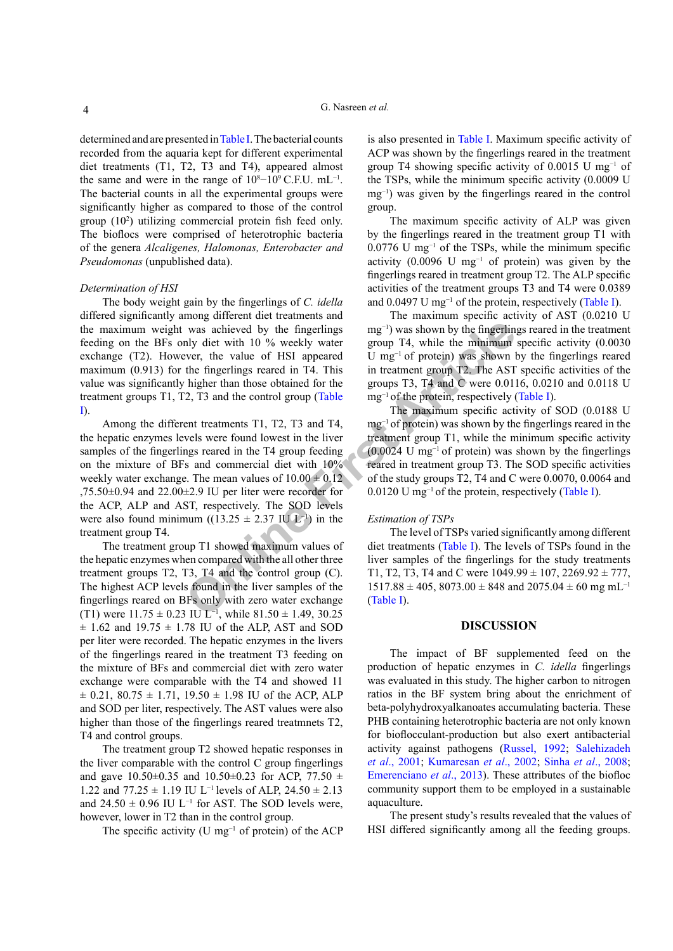determined and are presented in [Table I](#page-2-0). The bacterial counts recorded from the aquaria kept for different experimental diet treatments (T1, T2, T3 and T4), appeared almost the same and were in the range of  $10^8 - 10^9$  C.F.U. mL<sup>-1</sup>. The bacterial counts in all the experimental groups were significantly higher as compared to those of the control group (102 ) utilizing commercial protein fish feed only. The bioflocs were comprised of heterotrophic bacteria of the genera *Alcaligenes, Halomonas, Enterobacter and Pseudomonas* (unpublished data).

#### *Determination of HSI*

The body weight gain by the fingerlings of *C. idella* differed significantly among different diet treatments and the maximum weight was achieved by the fingerlings feeding on the BFs only diet with 10 % weekly water exchange (T2). However, the value of HSI appeared maximum (0.913) for the fingerlings reared in T4. This value was significantly higher than those obtained for the treatment groups T1, T2, T3 and the control group (Table [I](#page-2-0)).

was achieved by the fingerlings mg<sup>-1</sup>) was shown by the fingerling<br>hy diet with 10 % weekly water group T4, while the minimum<br>be the fingerlings reard in T4. This in treatment group T2. The AST<br>the fingerlings reard in t Among the different treatments T1, T2, T3 and T4, the hepatic enzymes levels were found lowest in the liver samples of the fingerlings reared in the T4 group feeding on the mixture of BFs and commercial diet with 10% weekly water exchange. The mean values of  $10.00 \pm 0.12$ ,75.50 $\pm$ 0.94 and 22.00 $\pm$ 2.9 IU per liter were recorder for the ACP, ALP and AST, respectively. The SOD levels were also found minimum ((13.25  $\pm$  2.37 IU L<sup>-1</sup>) in the treatment group T4.

The treatment group T1 showed maximum values of the hepatic enzymes when compared with the all other three treatment groups T2, T3, T4 and the control group (C). The highest ACP levels found in the liver samples of the fingerlings reared on BFs only with zero water exchange (T1) were  $11.75 \pm 0.23$  IU L<sup>-1</sup>, while  $81.50 \pm 1.49$ ,  $30.25$  $\pm$  1.62 and 19.75  $\pm$  1.78 IU of the ALP, AST and SOD per liter were recorded. The hepatic enzymes in the livers of the fingerlings reared in the treatment T3 feeding on the mixture of BFs and commercial diet with zero water exchange were comparable with the T4 and showed 11  $\pm$  0.21, 80.75  $\pm$  1.71, 19.50  $\pm$  1.98 IU of the ACP, ALP and SOD per liter, respectively. The AST values were also higher than those of the fingerlings reared treatmnets T2, T4 and control groups.

The treatment group T2 showed hepatic responses in the liver comparable with the control C group fingerlings and gave  $10.50\pm0.35$  and  $10.50\pm0.23$  for ACP, 77.50  $\pm$ 1.22 and  $77.25 \pm 1.19$  IU L<sup>-1</sup> levels of ALP, 24.50  $\pm$  2.13 and 24.50  $\pm$  0.96 IU L<sup>-1</sup> for AST. The SOD levels were, however, lower in T2 than in the control group.

The specific activity (U mg<sup>-1</sup> of protein) of the ACP

is also presented in [Table I](#page-2-0). Maximum specific activity of ACP was shown by the fingerlings reared in the treatment group T4 showing specific activity of 0.0015 U mg<sup>-1</sup> of the TSPs, while the minimum specific activity (0.0009 U mg<sup>-1</sup>) was given by the fingerlings reared in the control group.

The maximum specific activity of ALP was given by the fingerlings reared in the treatment group T1 with 0.0776 U mg−1 of the TSPs, while the minimum specific activity  $(0.0096 \text{ U mg}^{-1} \text{ of protein})$  was given by the fingerlings reared in treatment group T2. The ALP specific activities of the treatment groups T3 and T4 were 0.0389 and 0.0497 U mg<sup>-1</sup> of the protein, respectively [\(Table I](#page-2-0)).

The maximum specific activity of AST (0.0210 U mg<sup>-1</sup>) was shown by the fingerlings reared in the treatment group T4, while the minimum specific activity (0.0030 U mg−1 of protein) was shown by the fingerlings reared in treatment group T2. The AST specific activities of the groups T3, T4 and C were 0.0116, 0.0210 and 0.0118 U mg<sup>-1</sup> of the protein, respectively ([Table I](#page-2-0)).

The maximum specific activity of SOD (0.0188 U mg<sup>-1</sup> of protein) was shown by the fingerlings reared in the treatment group T1, while the minimum specific activity  $(0.0024 \text{ U mg}^{-1} \text{ of protein})$  was shown by the fingerlings reared in treatment group T3. The SOD specific activities of the study groups T2, T4 and C were 0.0070, 0.0064 and 0.0120 U mg−1 of the protein, respectively [\(Table I](#page-2-0)).

## *Estimation of TSPs*

The level of TSPs varied significantly among different diet treatments (Table I). The levels of TSPs found in the liver samples of the fingerlings for the study treatments T1, T2, T3, T4 and C were  $1049.99 \pm 107$ ,  $2269.92 \pm 777$ ,  $1517.88 \pm 405$ ,  $8073.00 \pm 848$  and  $2075.04 \pm 60$  mg mL<sup>-1</sup> (Table I).

## **DISCUSSION**

The impact of BF supplemented feed on the production of hepatic enzymes in *C. idella* fingerlings was evaluated in this study. The higher carbon to nitrogen ratios in the BF system bring about the enrichment of beta-polyhydroxyalkanoates accumulating bacteria. These PHB containing heterotrophic bacteria are not only known for bioflocculant-production but also exert antibacterial activity against pathogens [\(Russel, 1992](#page-7-5); [Salehizadeh](#page-7-6)  *et al*[., 2001](#page-7-6); [Kumaresan](#page-6-9) *et al*., 2002; Sinha *et al*[., 2008](#page-7-7); [Emerenciano](#page-5-6) *et al*., 2013). These attributes of the biofloc community support them to be employed in a sustainable aquaculture.

The present study's results revealed that the values of HSI differed significantly among all the feeding groups.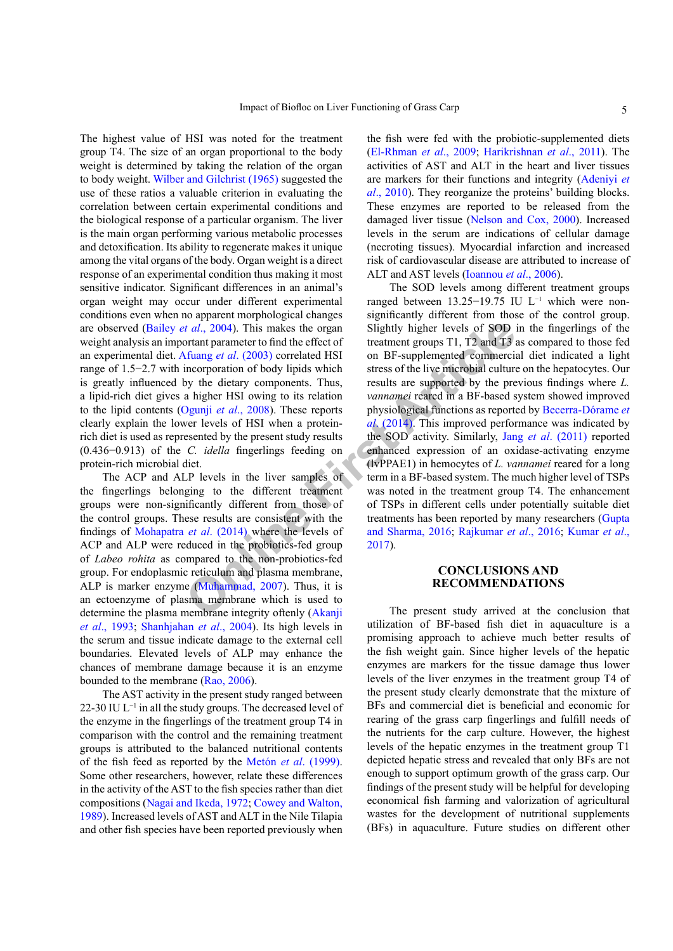The highest value of HSI was noted for the treatment group T4. The size of an organ proportional to the body weight is determined by taking the relation of the organ to body weight. [Wilber and Gilchrist \(1965\)](#page-7-8) suggested the use of these ratios a valuable criterion in evaluating the correlation between certain experimental conditions and the biological response of a particular organism. The liver is the main organ performing various metabolic processes and detoxification. Its ability to regenerate makes it unique among the vital organs of the body. Organ weight is a direct response of an experimental condition thus making it most sensitive indicator. Significant differences in an animal's organ weight may occur under different experimental conditions even when no apparent morphological changes are observed (Bailey *et al*., 2004). This makes the organ weight analysis an important parameter to find the effect of an experimental diet. Afuang *et al*. (2003) correlated HSI range of 1.5−2.7 with incorporation of body lipids which is greatly influenced by the dietary components. Thus, a lipid-rich diet gives a higher HSI owing to its relation to the lipid contents (Ogunji *et al*., 2008). These reports clearly explain the lower levels of HSI when a proteinrich diet is used as represented by the present study results (0.436−0.913) of the *C. idella* fingerlings feeding on protein-rich microbial diet.

The ACP and ALP levels in the liver samples of the fingerlings belonging to the different treatment groups were non-significantly different from those of the control groups. These results are consistent with the findings of Mohapatra *et al*. (2014) where the levels of ACP and ALP were reduced in the probiotics-fed group of *Labeo rohita* as compared to the non-probiotics-fed group. For endoplasmic reticulum and plasma membrane, ALP is marker enzyme (Muhammad, 2007). Thus, it is an ectoenzyme of plasma membrane which is used to determine the plasma membrane integrity oftenly (Akanji *et al*[., 1993](#page-5-9); [Shanhjahan](#page-7-10) *et al*., 2004). Its high levels in the serum and tissue indicate damage to the external cell boundaries. Elevated levels of ALP may enhance the chances of membrane damage because it is an enzyme bounded to the membrane ([Rao, 2006\)](#page-7-11).

The AST activity in the present study ranged between 22-30 IU  $L^{-1}$  in all the study groups. The decreased level of the enzyme in the fingerlings of the treatment group T4 in comparison with the control and the remaining treatment groups is attributed to the balanced nutritional contents of the fish feed as reported by the Metón *et al*. (1999). Some other researchers, however, relate these differences in the activity of the AST to the fish species rather than diet compositions ([Nagai and Ikeda, 1972](#page-6-12); [Cowey and Walton,](#page-5-10) [1989\)](#page-5-10). Increased levels of AST and ALT in the Nile Tilapia and other fish species have been reported previously when

the fish were fed with the probiotic-supplemented diets ([El-Rhman](#page-5-11) *et al*., 2009; [Harikrishnan](#page-6-13) *et al*., 2011). The activities of AST and ALT in the heart and liver tissues are markers for their functions and integrity [\(Adeniyi](#page-5-12) *et al*[., 2010\)](#page-5-12). They reorganize the proteins' building blocks. These enzymes are reported to be released from the damaged liver tissue [\(Nelson and Cox, 2000](#page-7-12)). Increased levels in the serum are indications of cellular damage (necroting tissues). Myocardial infarction and increased risk of cardiovascular disease are attributed to increase of ALT and AST levels [\(Ioannou](#page-6-14) *et al*., 2006).

**a** *a***l**, 2004). Th[i](#page-6-10)s makes the organ Slightly higher levels of SOD intention praises the organ Slightly higher levels of SOD intention of body lipids which theres of the live microbal culture or the proportion of body The SOD levels among different treatment groups ranged between 13.25−19.75 IU L−1 which were nonsignificantly different from those of the control group. Slightly higher levels of SOD in the fingerlings of the treatment groups T1, T2 and T3 as compared to those fed on BF-supplemented commercial diet indicated a light stress of the live microbial culture on the hepatocytes. Our results are supported by the previous findings where *L. vannamei* reared in a BF-based system showed improved physiological functions as reported by Becerra-Dórame *et al*. (2014). This improved performance was indicated by the SOD activity. Similarly, Jang *et al*[. \(2011\)](#page-6-15) reported enhanced expression of an oxidase-activating enzyme (lvPPAE1) in hemocytes of *L. vannamei* reared for a long term in a BF-based system. The much higher level of TSPs was noted in the treatment group T4. The enhancement of TSPs in different cells under potentially suitable diet treatments has been reported by many researchers ([Gupta](#page-5-13) and Sharma, 2016; Rajkumar *et al*., 2016; [Kumar](#page-6-16) *et al*., 2017).

## **CONCLUSIONS AND RECOMMENDATIONS**

The present study arrived at the conclusion that utilization of BF-based fish diet in aquaculture is a promising approach to achieve much better results of the fish weight gain. Since higher levels of the hepatic enzymes are markers for the tissue damage thus lower levels of the liver enzymes in the treatment group T4 of the present study clearly demonstrate that the mixture of BFs and commercial diet is beneficial and economic for rearing of the grass carp fingerlings and fulfill needs of the nutrients for the carp culture. However, the highest levels of the hepatic enzymes in the treatment group T1 depicted hepatic stress and revealed that only BFs are not enough to support optimum growth of the grass carp. Our findings of the present study will be helpful for developing economical fish farming and valorization of agricultural wastes for the development of nutritional supplements (BFs) in aquaculture. Future studies on different other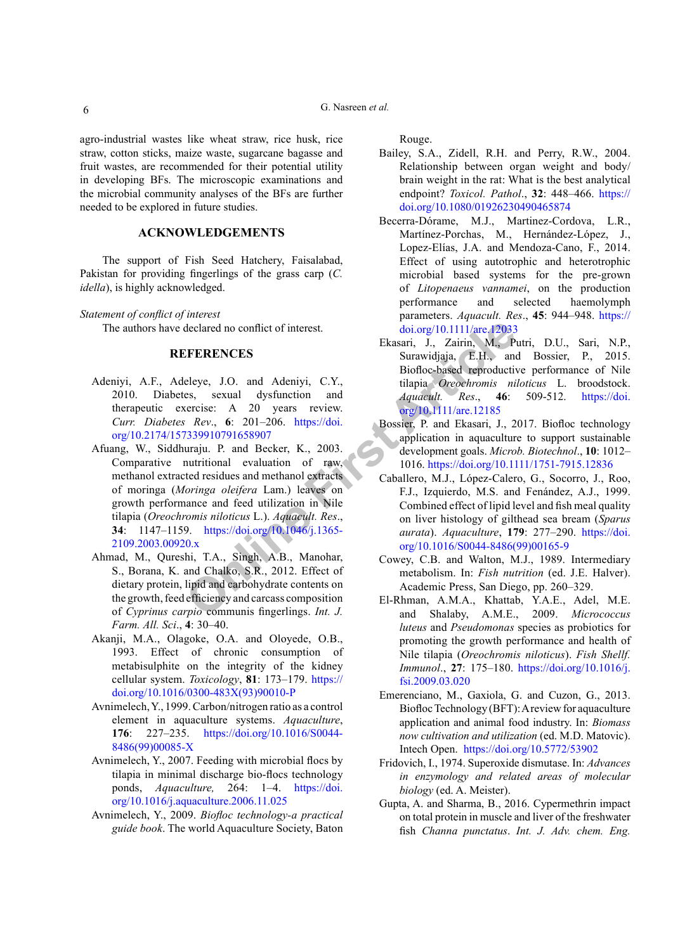agro-industrial wastes like wheat straw, rice husk, rice straw, cotton sticks, maize waste, sugarcane bagasse and fruit wastes, are recommended for their potential utility in developing BFs. The microscopic examinations and the microbial community analyses of the BFs are further needed to be explored in future studies.

## **ACKNOWLEDGEMENTS**

The support of Fish Seed Hatchery, Faisalabad, Pakistan for providing fingerlings of the grass carp (*C. idella*), is highly acknowledged.

## *Statement of conflict of interest*

The authors have declared no conflict of interest.

## **REFERENCES**

- <span id="page-5-12"></span><span id="page-5-8"></span>Adeniyi, A.F., Adeleye, J.O. and Adeniyi, C.Y., 2010. Diabetes, sexual dysfunction and 2010. Diabetes, sexual dysfunction and therapeutic exercise: A 20 years review. *Curr. Diabetes Rev*., **6**: 201–206. https://doi. [org/10.2174/157339910791658907](https://doi.org/10.2174/157339910791658907)
- declared no conflict of interest.<br> **EXERENCES**<br>
EXERENCES<br>
EXERENCES<br>
EXERENCES<br>
Surawidjaja, E.H., and<br>
e[le](https://doi.org/10.1111/are.12033)ve, J.O. and Adeniyi, C.Y.,<br>
ilapia Orechromis nin<br>
eleve, S. 201-206. https://doi.<br> **Bossier, P.** and Exercise: A Afuang, W., Siddhuraju. P. and Becker, K., 2003. Comparative nutritional evaluation of raw, methanol extracted residues and methanol extracts of moringa (*Moringa oleifera* Lam.) leaves on growth performance and feed utilization in Nile tilapia (*Oreochromis niloticus* L.). *Aquacult. Res*., **34**: 1147–1159. https://doi.org/10.1046/j.1365- [2109.2003.00920.x](https://doi.org/10.1046/j.1365-2109.2003.00920.x)
- <span id="page-5-0"></span>Ahmad, M., Qureshi, T.A., Singh, A.B., Manohar, S., Borana, K. and Chalko, S.R., 2012. Effect of dietary protein, lipid and carbohydrate contents on the growth, feed efficiency and carcass composition of *Cyprinus carpio* communis fingerlings. *Int. J. Farm. All. Sci*., **4**: 30–40.
- <span id="page-5-9"></span>Akanji, M.A., Olagoke, O.A. and Oloyede, O.B., 1993. Effect of chronic consumption of metabisulphite on the integrity of the kidney cellular system. *Toxicology*, **81**: 173–179. [https://](https://doi.org/10.1016/0300-483X(93)90010-P) [doi.org/10.1016/0300-483X\(93\)90010-P](https://doi.org/10.1016/0300-483X(93)90010-P)
- <span id="page-5-2"></span>Avnimelech, Y., 1999. Carbon/nitrogen ratio as a control element in aquaculture systems. *Aquaculture*, **176**: 227–235. [https://doi.org/10.1016/S0044-](https://doi.org/10.1016/S0044-8486(99)00085-X) [8486\(99\)00085-X](https://doi.org/10.1016/S0044-8486(99)00085-X)
- <span id="page-5-4"></span>Avnimelech, Y., 2007. Feeding with microbial flocs by tilapia in minimal discharge bio-flocs technology ponds, *Aquaculture,* 264: 1–4. [https://doi.](https://doi.org/10.1016/j.aquaculture.2006.11.025) [org/10.1016/j.aquaculture.2006.11.025](https://doi.org/10.1016/j.aquaculture.2006.11.025)
- <span id="page-5-1"></span>Avnimelech, Y., 2009. *Biofloc technology-a practical guide book*. The world Aquaculture Society, Baton

Rouge.

- <span id="page-5-7"></span>Bailey, S.A., Zidell, R.H. and Perry, R.W., 2004. Relationship between organ weight and body/ brain weight in the rat: What is the best analytical endpoint? *Toxicol. Pathol*., **32**: 448–466. [https://](https://doi.org/10.1080/01926230490465874) [doi.org/10.1080/01926230490465874](https://doi.org/10.1080/01926230490465874)
- Becerra-Dórame, M.J., Martinez-Cordova, L.R., Martínez-Porchas, M., Hernández-López, J., Lopez-Elías, J.A. and Mendoza-Cano, F., 2014. Effect of using autotrophic and heterotrophic microbial based systems for the pre-grown of *Litopenaeus vannamei*, on the production performance and selected haemolymph parameters. *Aquacult. Res*., **45**: 944–948. [https://](https://doi.org/10.1111/are.12033) doi.org/10.1111/are.12033
- Ekasari, J., Zairin, M., Putri, D.U., Sari, N.P., Surawidjaja, E.H., and Bossier, P., 2015. Biofloc-based reproductive performance of Nile tilapia *Oreochromis niloticus* L. broodstock. *Aquacult. Res*., **46**: 509-512. [https://doi.](https://doi.org/10.1111/are.12185) org/10.1111/are.12185
- <span id="page-5-3"></span>Bossier, P. and Ekasari, J., 2017. Biofloc technology application in aquaculture to support sustainable development goals. *Microb. Biotechnol*., **10**: 1012– 1016.<https://doi.org/10.1111/1751-7915.12836>
- Caballero, M.J., López-Calero, G., Socorro, J., Roo, F.J., Izquierdo, M.S. and Fenández, A.J., 1999. Combined effect of lipid level and fish meal quality on liver histology of gilthead sea bream (*Sparus aurata*). *Aquaculture*, **179**: 277–290. [https://doi.](https://doi.org/10.1016/S0044-8486(99)00165-9) [org/10.1016/S0044-8486\(99\)00165-9](https://doi.org/10.1016/S0044-8486(99)00165-9)
- <span id="page-5-10"></span>Cowey, C.B. and Walton, M.J., 1989. Intermediary metabolism. In: *Fish nutrition* (ed. J.E. Halver). Academic Press, San Diego, pp. 260–329.
- <span id="page-5-11"></span>El-Rhman, A.M.A., Khattab, Y.A.E., Adel, M.E. and Shalaby, A.M.E., 2009. *Micrococcus luteus* and *Pseudomonas* species as probiotics for promoting the growth performance and health of Nile tilapia (*Oreochromis niloticus*). *Fish Shellf. Immunol*., **27**: 175–180. [https://doi.org/10.1016/j.](https://doi.org/10.1016/j.fsi.2009.03.020) [fsi.2009.03.020](https://doi.org/10.1016/j.fsi.2009.03.020)
- <span id="page-5-6"></span>Emerenciano, M., Gaxiola, G. and Cuzon, G., 2013. Biofloc Technology (BFT): A review for aquaculture application and animal food industry. In: *Biomass now cultivation and utilization* (ed. M.D. Matovic). Intech Open. <https://doi.org/10.5772/53902>
- <span id="page-5-5"></span>Fridovich, I., 1974. Superoxide dismutase. In: *Advances in enzymology and related areas of molecular biology* (ed. A. Meister).
- <span id="page-5-13"></span>Gupta, A. and Sharma, B., 2016. Cypermethrin impact on total protein in muscle and liver of the freshwater fish *Channa punctatus*. *Int. J. Adv. chem. Eng.*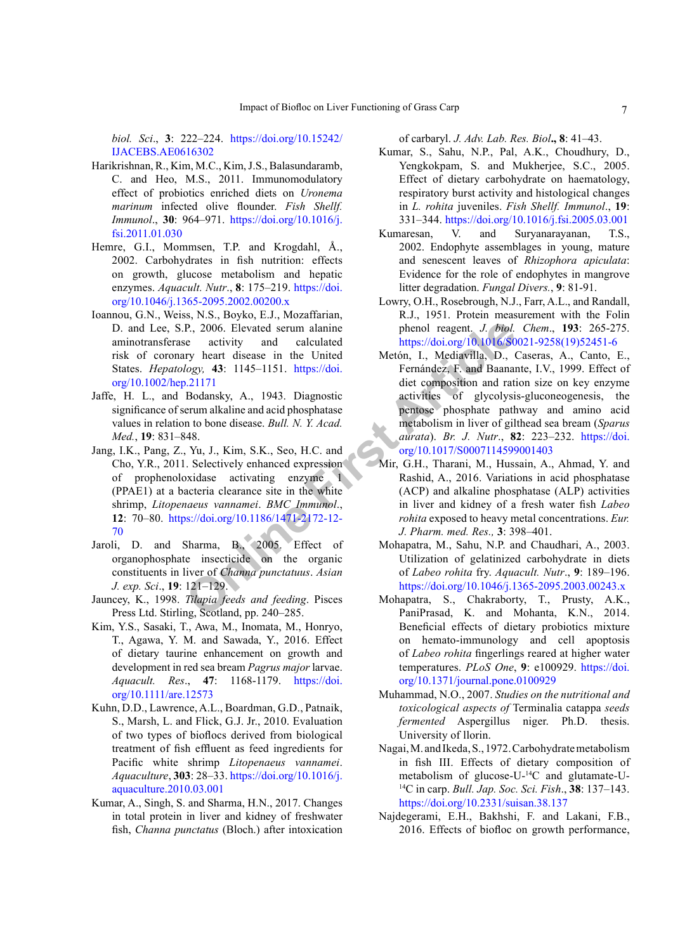*biol. Sci*., **3**: 222–224. [https://doi.org/10.15242/](https://doi.org/10.15242/IJACEBS.AE0616302) [IJACEBS.AE0616302](https://doi.org/10.15242/IJACEBS.AE0616302)

- <span id="page-6-13"></span>Harikrishnan, R., Kim, M.C., Kim, J.S., Balasundaramb, C. and Heo, M.S., 2011. Immunomodulatory effect of probiotics enriched diets on *Uronema marinum* infected olive flounder. *Fish Shellf. Immunol*., **30**: 964–971. [https://doi.org/10.1016/j.](https://doi.org/10.1016/j.fsi.2011.01.030) [fsi.2011.01.030](https://doi.org/10.1016/j.fsi.2011.01.030)
- Hemre, G.I., Mommsen, T.P. and Krogdahl, Å., 2002. Carbohydrates in fish nutrition: effects on growth, glucose metabolism and hepatic enzymes. *Aquacult. Nutr*., **8**: 175–219. [https://doi.](https://doi.org/10.1046/j.1365-2095.2002.00200.x) [org/10.1046/j.1365-2095.2002.00200.x](https://doi.org/10.1046/j.1365-2095.2002.00200.x)
- <span id="page-6-14"></span>Ioannou, G.N., Weiss, N.S., Boyko, E.J., Mozaffarian, D. and Lee, S.P., 2006. Elevated serum alanine aminotransferase activity and calculated risk of coronary heart disease in the United States. *Hepatology,* **43**: 1145–1151. https://doi. [org/10.1002/hep.21171](https://doi.org/10.1002/hep.21171)
- <span id="page-6-7"></span>Jaffe, H. L., and Bodansky, A., 1943. Diagnostic significance of serum alkaline and acid phosphatase values in relation to bone disease. *Bull. N. Y. Acad. Med.*, **19**: 831–848.
- <span id="page-6-15"></span>Jang, I.K., Pang, Z., Yu, J., Kim, S.K., Seo, H.C. and Cho, Y.R., 2011. Selectively enhanced expression of prophenoloxidase activating enzyme 1 (PPAE1) at a bacteria clearance site in the white shrimp, *Litopenaeus vannamei*. *BMC Immunol*., **12**: 70–80. https://doi.org/10.1186/1471-2172-12- [70](https://doi.org/10.1186/1471-2172-12-70)
- <span id="page-6-6"></span>Jaroli, D. and Sharma, B., 2005. Effect of organophosphate insecticide on the organic constituents in liver of *Channa punctatuus*. *Asian J. exp. Sci*., **19**: 121–129.
- <span id="page-6-0"></span>Jauncey, K., 1998. *Tilapia feeds and feeding*. Pisces Press Ltd. Stirling, Scotland, pp. 240–285.
- Kim, Y.S., Sasaki, T., Awa, M., Inomata, M., Honryo, T., Agawa, Y. M. and Sawada, Y., 2016. Effect of dietary taurine enhancement on growth and development in red sea bream *Pagrus major* larvae. *Aquacult. Res*., **47**: 1168-1179. [https://doi.](https://doi.org/10.1111/are.12573) [org/10.1111/are.12573](https://doi.org/10.1111/are.12573)
- <span id="page-6-12"></span><span id="page-6-11"></span><span id="page-6-4"></span>Kuhn, D.D., Lawrence, A.L., Boardman, G.D., Patnaik, S., Marsh, L. and Flick, G.J. Jr., 2010. Evaluation of two types of bioflocs derived from biological treatment of fish effluent as feed ingredients for Pacific white shrimp *Litopenaeus vannamei*. *Aquaculture*, **303**: 28–33. [https://doi.org/10.1016/j.](https://doi.org/10.1016/j.aquaculture.2010.03.001) [aquaculture.2010.03.001](https://doi.org/10.1016/j.aquaculture.2010.03.001)
- <span id="page-6-16"></span><span id="page-6-5"></span>Kumar, A., Singh, S. and Sharma, H.N., 2017. Changes in total protein in liver and kidney of freshwater fish, *Channa punctatus* (Bloch.) after intoxication

<span id="page-6-3"></span>of carbaryl. *J. Adv. Lab. Res. Biol***., 8**: 41–43.

- Kumar, S., Sahu, N.P., Pal, A.K., Choudhury, D., Yengkokpam, S. and Mukherjee, S.C., 2005. Effect of dietary carbohydrate on haematology, respiratory burst activity and histological changes in *L. rohita* juveniles. *Fish Shellf. Immunol*., **19**: 331–344. <https://doi.org/10.1016/j.fsi.2005.03.001>
- <span id="page-6-9"></span>Kumaresan, V. and Suryanarayanan, T.S., 2002. Endophyte assemblages in young, mature and senescent leaves of *Rhizophora apiculata*: Evidence for the role of endophytes in mangrove litter degradation. *Fungal Divers.*, **9**: 81-91.
- <span id="page-6-10"></span><span id="page-6-8"></span><span id="page-6-2"></span><span id="page-6-1"></span>Lowry, O.H., Rosebrough, N.J., Farr, A.L., and Randall, R.J., 1951. Protein measurement with the Folin phenol reagent. *J. biol. Chem*., **193**: 265-275. [https://doi.org/10.1016/S0021-9258\(19\)52451-6](https://doi.org/10.1016/S0021-9258(19)52451-6)
- **P.** 2006. Elevated serum alanine<br>
bend reagent. *J. biol.*<br>
logy hear[t](https://doi.org/10.1017/S0007114599001403) disease in the United<br>
bend reagent. *J. Mediavilla*, D., (<br>
logy, 43: 1145–1151. https://doi. Fernández, F. and Banana<br>
Bodansky, A., 1943. Diagnosti Metón, I., Mediavilla, D., Caseras, A., Canto, E., Fernández, F. and Baanante, I.V., 1999. Effect of diet composition and ration size on key enzyme activities of glycolysis-gluconeogenesis, the pentose phosphate pathway and amino acid metabolism in liver of gilthead sea bream (*Sparus aurata*). *Br. J. Nutr*., **82**: 223–232. [https://doi.](https://doi.org/10.1017/S0007114599001403) org/10.1017/S0007114599001403
	- Mir, G.H., Tharani, M., Hussain, A., Ahmad, Y. and Rashid, A., 2016. Variations in acid phosphatase (ACP) and alkaline phosphatase (ALP) activities in liver and kidney of a fresh water fish *Labeo rohita* exposed to heavy metal concentrations. *Eur. J. Pharm. med. Res.,* **3**: 398–401.
	- Mohapatra, M., Sahu, N.P. and Chaudhari, A., 2003. Utilization of gelatinized carbohydrate in diets of *Labeo rohita* fry. *Aquacult. Nutr*., **9**: 189–196. <https://doi.org/10.1046/j.1365-2095.2003.00243.x>
	- Mohapatra, S., Chakraborty, T., Prusty, A.K., PaniPrasad, K. and Mohanta, K.N., 2014. Beneficial effects of dietary probiotics mixture on hemato-immunology and cell apoptosis of *Labeo rohita* fingerlings reared at higher water temperatures. *PLoS One*, **9**: e100929. [https://doi.](https://doi.org/10.1371/journal.pone.0100929) [org/10.1371/journal.pone.0100929](https://doi.org/10.1371/journal.pone.0100929)
	- Muhammad, N.O., 2007. *Studies on the nutritional and toxicological aspects of* Terminalia catappa *seeds fermented* Aspergillus niger. Ph.D. thesis. University of llorin.
	- Nagai, M. and Ikeda, S., 1972. Carbohydrate metabolism in fish III. Effects of dietary composition of metabolism of glucose-U-14C and glutamate-U- 14C in carp. *Bull. Jap. Soc. Sci. Fish*., **38**: 137–143. <https://doi.org/10.2331/suisan.38.137>
	- Najdegerami, E.H., Bakhshi, F. and Lakani, F.B., 2016. Effects of biofloc on growth performance,